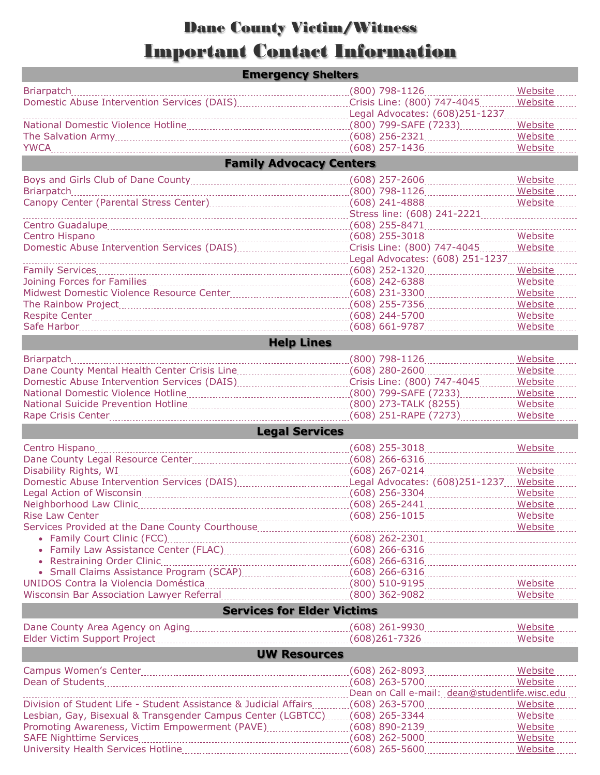## Dane County Victim/Witness Important Contact Information

|                                                                           |  | Crisis Line: (800) 747-4045                     | Website        |  |  |
|---------------------------------------------------------------------------|--|-------------------------------------------------|----------------|--|--|
|                                                                           |  |                                                 |                |  |  |
|                                                                           |  | (800) 799-SAFE (7233)                           | Website        |  |  |
|                                                                           |  |                                                 |                |  |  |
|                                                                           |  |                                                 |                |  |  |
| <b>Family Advocacy Centers</b>                                            |  |                                                 |                |  |  |
|                                                                           |  |                                                 | <b>Website</b> |  |  |
|                                                                           |  | $(800)$ 798-1126                                | Website        |  |  |
|                                                                           |  |                                                 |                |  |  |
|                                                                           |  |                                                 |                |  |  |
|                                                                           |  |                                                 |                |  |  |
|                                                                           |  |                                                 | Website        |  |  |
|                                                                           |  | Crisis Line: (800) 747-4045                     | Website        |  |  |
|                                                                           |  | Legal Advocates: (608) 251-1237                 |                |  |  |
|                                                                           |  |                                                 | Website        |  |  |
|                                                                           |  |                                                 | Website        |  |  |
|                                                                           |  |                                                 | Website        |  |  |
|                                                                           |  | $(608)$ 255-7356                                | Website        |  |  |
|                                                                           |  |                                                 |                |  |  |
|                                                                           |  |                                                 | Website        |  |  |
| <b>Help Lines</b>                                                         |  |                                                 |                |  |  |
|                                                                           |  |                                                 |                |  |  |
|                                                                           |  |                                                 | Website        |  |  |
|                                                                           |  |                                                 | Website        |  |  |
|                                                                           |  |                                                 | Website        |  |  |
|                                                                           |  |                                                 | Website        |  |  |
|                                                                           |  | (800) 273-TALK (8255)                           | <b>Website</b> |  |  |
|                                                                           |  | $(608)$ 251-RAPE $(7273)$                       | Website        |  |  |
|                                                                           |  |                                                 |                |  |  |
| <b>Legal Services</b>                                                     |  |                                                 |                |  |  |
|                                                                           |  |                                                 |                |  |  |
|                                                                           |  |                                                 | Website        |  |  |
|                                                                           |  |                                                 |                |  |  |
|                                                                           |  |                                                 | <b>Website</b> |  |  |
|                                                                           |  |                                                 |                |  |  |
|                                                                           |  |                                                 | Website        |  |  |
|                                                                           |  |                                                 | Website        |  |  |
| <b>Rise Law Center</b>                                                    |  |                                                 | Website        |  |  |
|                                                                           |  |                                                 |                |  |  |
|                                                                           |  |                                                 |                |  |  |
|                                                                           |  |                                                 |                |  |  |
|                                                                           |  |                                                 |                |  |  |
|                                                                           |  |                                                 |                |  |  |
|                                                                           |  |                                                 |                |  |  |
|                                                                           |  |                                                 |                |  |  |
| <b>Services for Elder Victims</b>                                         |  |                                                 |                |  |  |
|                                                                           |  |                                                 |                |  |  |
|                                                                           |  |                                                 | Website        |  |  |
| <b>UW Resources</b>                                                       |  |                                                 |                |  |  |
|                                                                           |  |                                                 |                |  |  |
|                                                                           |  | (608) 262-8093 ________________________ Website |                |  |  |
|                                                                           |  |                                                 | Website        |  |  |
|                                                                           |  | Dean on Call e-mail: dean@studentlife.wisc.edu  |                |  |  |
|                                                                           |  |                                                 | Website        |  |  |
| Lesbian, Gay, Bisexual & Transgender Campus Center (LGBTCC)(608) 265-3344 |  |                                                 | Website        |  |  |
|                                                                           |  |                                                 | Website        |  |  |
|                                                                           |  |                                                 |                |  |  |